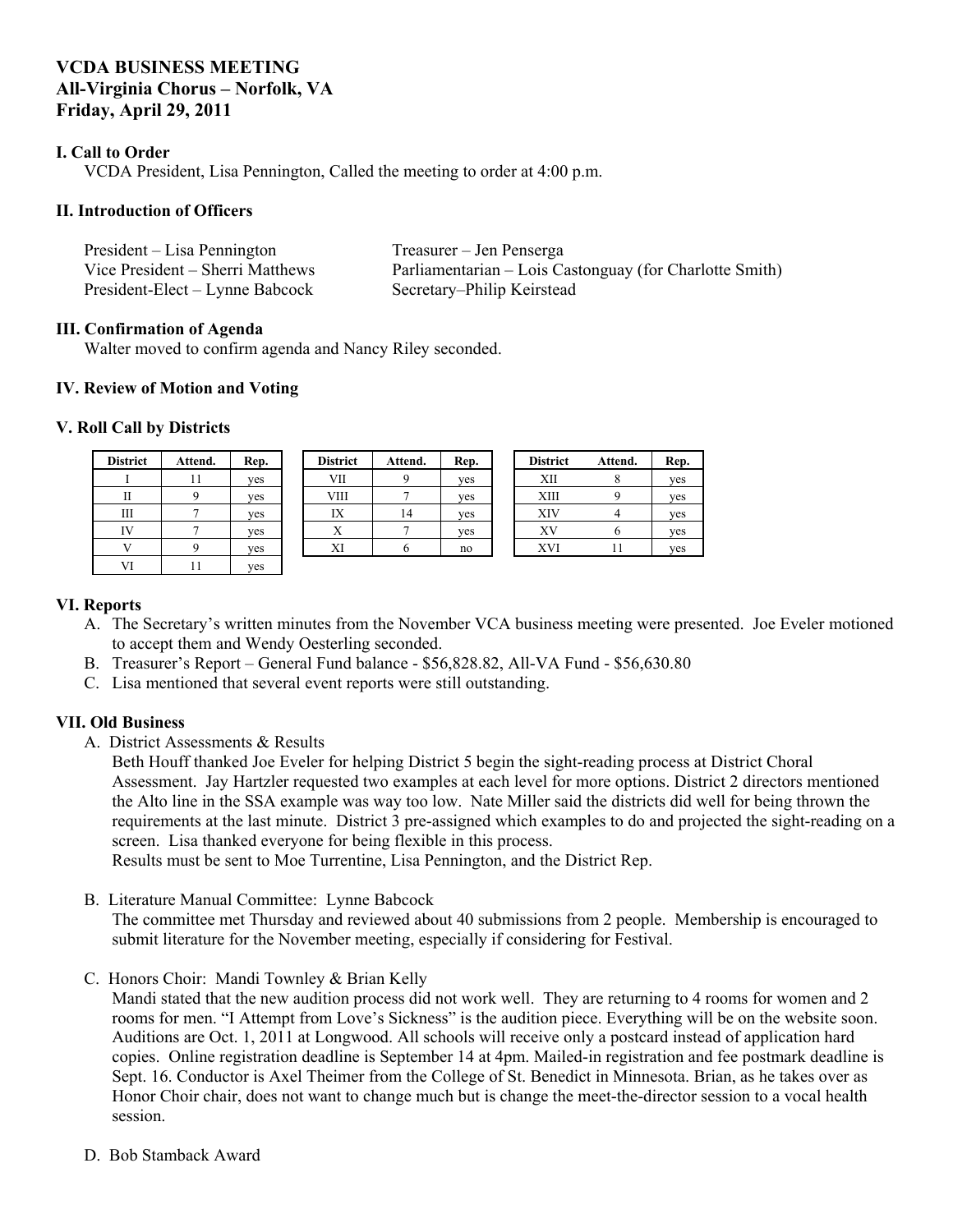# **VCDA BUSINESS MEETING All-Virginia Chorus – Norfolk, VA Friday, April 29, 2011**

### **I. Call to Order**

VCDA President, Lisa Pennington, Called the meeting to order at 4:00 p.m.

#### **II. Introduction of Officers**

| President – Lisa Pennington      | Treasurer – Jen Penserga                                |
|----------------------------------|---------------------------------------------------------|
| Vice President – Sherri Matthews | Parliamentarian – Lois Castonguay (for Charlotte Smith) |
| President-Elect – Lynne Babcock  | Secretary–Philip Keirstead                              |

#### **III. Confirmation of Agenda**

Walter moved to confirm agenda and Nancy Riley seconded.

#### **IV. Review of Motion and Voting**

#### **V. Roll Call by Districts**

| <b>District</b> | Attend. | Rep. | <b>District</b> | Attend. | Rep. | <b>District</b> | Attend.      | Rep. |
|-----------------|---------|------|-----------------|---------|------|-----------------|--------------|------|
|                 |         | yes  | VII             |         | yes  | XII             |              | ves  |
|                 |         | ves  | <b>VIII</b>     |         | yes  | <b>XIII</b>     |              | ves  |
| Ш               |         | yes  | IX              | 14      | yes  | XIV             |              | yes  |
| IV              |         | yes  | △               |         | yes  | XV              | $\mathbf{u}$ | ves  |
|                 |         | yes  | XI              |         | no   | XVI             |              | ves  |
| VI              |         | yes  |                 |         |      |                 |              |      |

#### **VI. Reports**

- A. The Secretary's written minutes from the November VCA business meeting were presented. Joe Eveler motioned to accept them and Wendy Oesterling seconded.
- B. Treasurer's Report General Fund balance \$56,828.82, All-VA Fund \$56,630.80
- C. Lisa mentioned that several event reports were still outstanding.

# **VII. Old Business**

A. District Assessments & Results

Beth Houff thanked Joe Eveler for helping District 5 begin the sight-reading process at District Choral Assessment. Jay Hartzler requested two examples at each level for more options. District 2 directors mentioned the Alto line in the SSA example was way too low. Nate Miller said the districts did well for being thrown the requirements at the last minute. District 3 pre-assigned which examples to do and projected the sight-reading on a screen. Lisa thanked everyone for being flexible in this process.

Results must be sent to Moe Turrentine, Lisa Pennington, and the District Rep.

B. Literature Manual Committee: Lynne Babcock

The committee met Thursday and reviewed about 40 submissions from 2 people. Membership is encouraged to submit literature for the November meeting, especially if considering for Festival.

C. Honors Choir: Mandi Townley & Brian Kelly

Mandi stated that the new audition process did not work well. They are returning to 4 rooms for women and 2 rooms for men. "I Attempt from Love's Sickness" is the audition piece. Everything will be on the website soon. Auditions are Oct. 1, 2011 at Longwood. All schools will receive only a postcard instead of application hard copies. Online registration deadline is September 14 at 4pm. Mailed-in registration and fee postmark deadline is Sept. 16. Conductor is Axel Theimer from the College of St. Benedict in Minnesota. Brian, as he takes over as Honor Choir chair, does not want to change much but is change the meet-the-director session to a vocal health session.

D. Bob Stamback Award